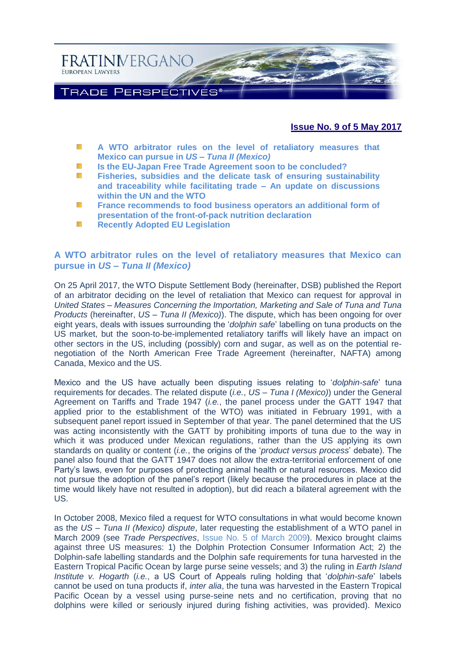

## **Issue No. 9 of 5 May 2017**

- W. **[A WTO arbitrator rules on the level of retaliatory measures that](#page-0-0)  [Mexico can pursue in](#page-0-0)** *US – Tuna II (Mexico)*
- **[Is the EU-Japan Free Trade Agreement soon to be concluded?](#page-2-0)** NS.
- **[Fisheries, subsidies and the delicate task of ensuring sustainability](#page-4-0)**  SS. **[and traceability while facilitating trade –](#page-4-0) An update on discussions [within the UN and the WTO](#page-4-0)**
- W. **[France recommends to food business operators an additional form of](#page-6-0)  [presentation of the front-of-pack nutrition declaration](#page-6-0)**
- 谣 **[Recently Adopted EU Legislation](#page-9-0)**

#### <span id="page-0-0"></span>**A WTO arbitrator rules on the level of retaliatory measures that Mexico can pursue in** *US – Tuna II (Mexico)*

On 25 April 2017, the WTO Dispute Settlement Body (hereinafter, DSB) published the Report of an arbitrator deciding on the level of retaliation that Mexico can request for approval in *United States – Measures Concerning the Importation, Marketing and Sale of Tuna and Tuna Products* (hereinafter, *US – Tuna II (Mexico)*). The dispute, which has been ongoing for over eight years, deals with issues surrounding the '*dolphin safe*' labelling on tuna products on the US market, but the soon-to-be-implemented retaliatory tariffs will likely have an impact on other sectors in the US, including (possibly) corn and sugar, as well as on the potential renegotiation of the North American Free Trade Agreement (hereinafter, NAFTA) among Canada, Mexico and the US.

Mexico and the US have actually been disputing issues relating to '*dolphin-safe*' tuna requirements for decades. The related dispute (*i.e.*, *US – Tuna I (Mexico)*) under the General Agreement on Tariffs and Trade 1947 (*i.e.*, the panel process under the GATT 1947 that applied prior to the establishment of the WTO) was initiated in February 1991, with a subsequent panel report issued in September of that year. The panel determined that the US was acting inconsistently with the GATT by prohibiting imports of tuna due to the way in which it was produced under Mexican regulations, rather than the US applying its own standards on quality or content (*i.e.*, the origins of the '*product versus process*' debate). The panel also found that the GATT 1947 does not allow the extra-territorial enforcement of one Party's laws, even for purposes of protecting animal health or natural resources. Mexico did not pursue the adoption of the panel's report (likely because the procedures in place at the time would likely have not resulted in adoption), but did reach a bilateral agreement with the US.

In October 2008, Mexico filed a request for WTO consultations in what would become known as the *US – Tuna II (Mexico) dispute*, later requesting the establishment of a WTO panel in March 2009 (see *Trade Perspectives*, [Issue No. 5 of March 2009\)](http://www.fratinivergano.eu/static/upload/1/1/Issue_No._5_2.pdf). Mexico brought claims against three US measures: 1) the Dolphin Protection Consumer Information Act; 2) the Dolphin-safe labelling standards and the Dolphin safe requirements for tuna harvested in the Eastern Tropical Pacific Ocean by large purse seine vessels; and 3) the ruling in *Earth Island Institute v. Hogarth* (*i.e.*, a US Court of Appeals ruling holding that '*dolphin-safe*' labels cannot be used on tuna products if, *inter alia*, the tuna was harvested in the Eastern Tropical Pacific Ocean by a vessel using purse-seine nets and no certification, proving that no dolphins were killed or seriously injured during fishing activities, was provided). Mexico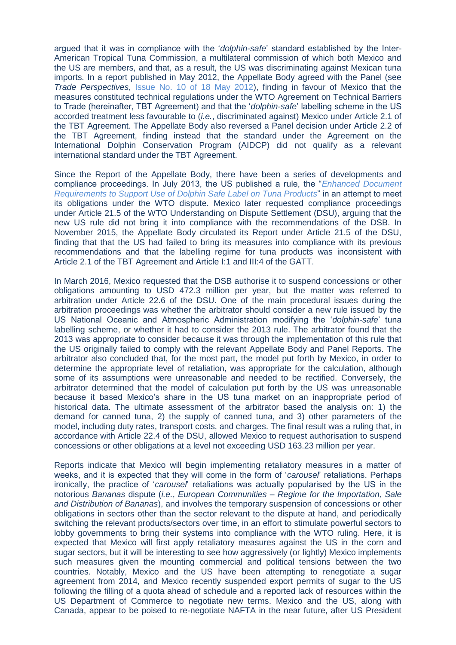argued that it was in compliance with the '*dolphin-safe*' standard established by the Inter-American Tropical Tuna Commission, a multilateral commission of which both Mexico and the US are members, and that, as a result, the US was discriminating against Mexican tuna imports. In a report published in May 2012, the Appellate Body agreed with the Panel (see *Trade Perspectives*, [Issue No. 10 of 18 May 2012\)](http://www.fratinivergano.eu/static/upload/1/1/Issue_No._10_(18-5)_.pdf), finding in favour of Mexico that the measures constituted technical regulations under the WTO Agreement on Technical Barriers to Trade (hereinafter, TBT Agreement) and that the '*dolphin-safe*' labelling scheme in the US accorded treatment less favourable to (*i.e.*, discriminated against) Mexico under Article 2.1 of the TBT Agreement. The Appellate Body also reversed a Panel decision under Article 2.2 of the TBT Agreement, finding instead that the standard under the Agreement on the International Dolphin Conservation Program (AIDCP) did not qualify as a relevant international standard under the TBT Agreement.

Since the Report of the Appellate Body, there have been a series of developments and compliance proceedings. In July 2013, the US published a rule, the "*[Enhanced Document](https://www.federalregister.gov/documents/2013/07/09/2013-16508/enhanced-document-requirements-to-support-use-of-the-dolphin-safe-label-on-tuna-products)  [Requirements to Support Use of Dolphin Safe Label on Tuna Products](https://www.federalregister.gov/documents/2013/07/09/2013-16508/enhanced-document-requirements-to-support-use-of-the-dolphin-safe-label-on-tuna-products)*" in an attempt to meet its obligations under the WTO dispute. Mexico later requested compliance proceedings under Article 21.5 of the WTO Understanding on Dispute Settlement (DSU), arguing that the new US rule did not bring it into compliance with the recommendations of the DSB. In November 2015, the Appellate Body circulated its Report under Article 21.5 of the DSU, finding that that the US had failed to bring its measures into compliance with its previous recommendations and that the labelling regime for tuna products was inconsistent with Article 2.1 of the TBT Agreement and Article I:1 and III:4 of the GATT.

In March 2016, Mexico requested that the DSB authorise it to suspend concessions or other obligations amounting to USD 472.3 million per year, but the matter was referred to arbitration under Article 22.6 of the DSU. One of the main procedural issues during the arbitration proceedings was whether the arbitrator should consider a new rule issued by the US National Oceanic and Atmospheric Administration modifying the '*dolphin-safe*' tuna labelling scheme, or whether it had to consider the 2013 rule. The arbitrator found that the 2013 was appropriate to consider because it was through the implementation of this rule that the US originally failed to comply with the relevant Appellate Body and Panel Reports. The arbitrator also concluded that, for the most part, the model put forth by Mexico, in order to determine the appropriate level of retaliation, was appropriate for the calculation, although some of its assumptions were unreasonable and needed to be rectified. Conversely, the arbitrator determined that the model of calculation put forth by the US was unreasonable because it based Mexico's share in the US tuna market on an inappropriate period of historical data. The ultimate assessment of the arbitrator based the analysis on: 1) the demand for canned tuna, 2) the supply of canned tuna, and 3) other parameters of the model, including duty rates, transport costs, and charges. The final result was a ruling that, in accordance with Article 22.4 of the DSU, allowed Mexico to request authorisation to suspend concessions or other obligations at a level not exceeding USD 163.23 million per year.

Reports indicate that Mexico will begin implementing retaliatory measures in a matter of weeks, and it is expected that they will come in the form of '*carousel*' retaliations. Perhaps ironically, the practice of '*carousel*' retaliations was actually popularised by the US in the notorious *Bananas* dispute (*i.e.*, *European Communities – Regime for the Importation, Sale and Distribution of Bananas*), and involves the temporary suspension of concessions or other obligations in sectors other than the sector relevant to the dispute at hand, and periodically switching the relevant products/sectors over time, in an effort to stimulate powerful sectors to lobby governments to bring their systems into compliance with the WTO ruling. Here, it is expected that Mexico will first apply retaliatory measures against the US in the corn and sugar sectors, but it will be interesting to see how aggressively (or lightly) Mexico implements such measures given the mounting commercial and political tensions between the two countries. Notably, Mexico and the US have been attempting to renegotiate a sugar agreement from 2014, and Mexico recently suspended export permits of sugar to the US following the filling of a quota ahead of schedule and a reported lack of resources within the US Department of Commerce to negotiate new terms. Mexico and the US, along with Canada, appear to be poised to re-negotiate NAFTA in the near future, after US President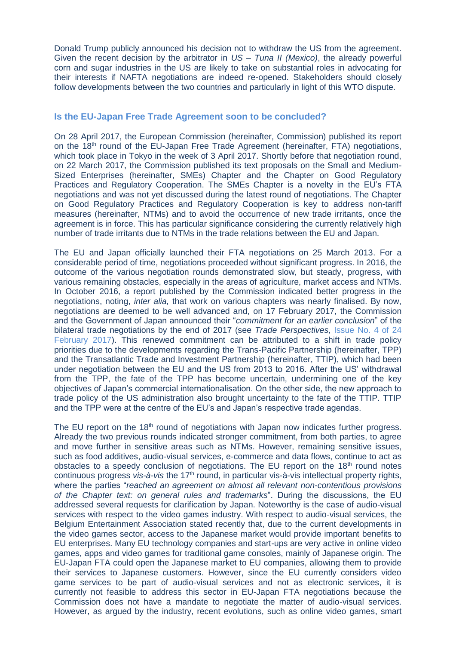Donald Trump publicly announced his decision not to withdraw the US from the agreement. Given the recent decision by the arbitrator in *US – Tuna II (Mexico)*, the already powerful corn and sugar industries in the US are likely to take on substantial roles in advocating for their interests if NAFTA negotiations are indeed re-opened. Stakeholders should closely follow developments between the two countries and particularly in light of this WTO dispute.

#### <span id="page-2-0"></span>**Is the EU-Japan Free Trade Agreement soon to be concluded?**

On 28 April 2017, the European Commission (hereinafter, Commission) published its report on the 18<sup>th</sup> round of the EU-Japan Free Trade Agreement (hereinafter, FTA) negotiations, which took place in Tokyo in the week of 3 April 2017. Shortly before that negotiation round, on 22 March 2017, the Commission published its text proposals on the Small and Medium-Sized Enterprises (hereinafter, SMEs) Chapter and the Chapter on Good Regulatory Practices and Regulatory Cooperation. The SMEs Chapter is a novelty in the EU's FTA negotiations and was not yet discussed during the latest round of negotiations. The Chapter on Good Regulatory Practices and Regulatory Cooperation is key to address non-tariff measures (hereinafter, NTMs) and to avoid the occurrence of new trade irritants, once the agreement is in force. This has particular significance considering the currently relatively high number of trade irritants due to NTMs in the trade relations between the EU and Japan.

The EU and Japan officially launched their FTA negotiations on 25 March 2013. For a considerable period of time, negotiations proceeded without significant progress. In 2016, the outcome of the various negotiation rounds demonstrated slow, but steady, progress, with various remaining obstacles, especially in the areas of agriculture, market access and NTMs. In October 2016, a report published by the Commission indicated better progress in the negotiations, noting, *inter alia,* that work on various chapters was nearly finalised. By now, negotiations are deemed to be well advanced and, on 17 February 2017, the Commission and the Government of Japan announced their "*commitment for an earlier conclusion*" of the bilateral trade negotiations by the end of 2017 (see *Trade Perspectives*, [Issue No. 4 of 24](http://www.fratinivergano.eu/en/issue-number-4-24th-february-2017/#EU%20FTA)  [February 2017\)](http://www.fratinivergano.eu/en/issue-number-4-24th-february-2017/#EU%20FTA). This renewed commitment can be attributed to a shift in trade policy priorities due to the developments regarding the Trans-Pacific Partnership (hereinafter, TPP) and the Transatlantic Trade and Investment Partnership (hereinafter, TTIP), which had been under negotiation between the EU and the US from 2013 to 2016. After the US' withdrawal from the TPP, the fate of the TPP has become uncertain, undermining one of the key objectives of Japan's commercial internationalisation. On the other side, the new approach to trade policy of the US administration also brought uncertainty to the fate of the TTIP. TTIP and the TPP were at the centre of the EU's and Japan's respective trade agendas.

The EU report on the 18<sup>th</sup> round of negotiations with Japan now indicates further progress. Already the two previous rounds indicated stronger commitment, from both parties, to agree and move further in sensitive areas such as NTMs. However, remaining sensitive issues, such as food additives, audio-visual services, e-commerce and data flows, continue to act as obstacles to a speedy conclusion of negotiations. The EU report on the 18<sup>th</sup> round notes continuous progress *vis-à-vis* the 17<sup>th</sup> round, in particular vis-à-vis intellectual property rights, where the parties "*reached an agreement on almost all relevant non-contentious provisions of the Chapter text: on general rules and trademarks*". During the discussions, the EU addressed several requests for clarification by Japan. Noteworthy is the case of audio-visual services with respect to the video games industry. With respect to audio-visual services, the Belgium Entertainment Association stated recently that, due to the current developments in the video games sector, access to the Japanese market would provide important benefits to EU enterprises. Many EU technology companies and start-ups are very active in online video games, apps and video games for traditional game consoles, mainly of Japanese origin. The EU-Japan FTA could open the Japanese market to EU companies, allowing them to provide their services to Japanese customers. However, since the EU currently considers video game services to be part of audio-visual services and not as electronic services, it is currently not feasible to address this sector in EU-Japan FTA negotiations because the Commission does not have a mandate to negotiate the matter of audio-visual services. However, as argued by the industry, recent evolutions, such as online video games, smart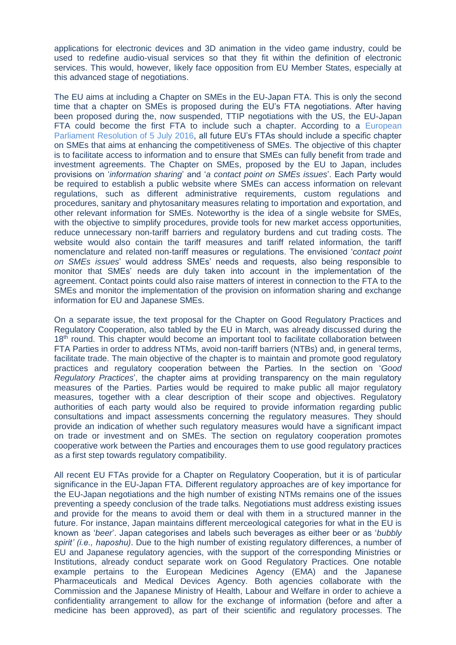applications for electronic devices and 3D animation in the video game industry, could be used to redefine audio-visual services so that they fit within the definition of electronic services. This would, however, likely face opposition from EU Member States, especially at this advanced stage of negotiations.

The EU aims at including a Chapter on SMEs in the EU-Japan FTA. This is only the second time that a chapter on SMEs is proposed during the EU's FTA negotiations. After having been proposed during the, now suspended, TTIP negotiations with the US, the EU-Japan FTA could become the first FTA to include such a chapter. According to a [European](http://www.europarl.europa.eu/sides/getDoc.do?pubRef=-//EP//NONSGML+TA+P8-TA-2016-0299+0+DOC+PDF+V0//EN)  [Parliament Resolution of 5 July 2016,](http://www.europarl.europa.eu/sides/getDoc.do?pubRef=-//EP//NONSGML+TA+P8-TA-2016-0299+0+DOC+PDF+V0//EN) all future EU's FTAs should include a specific chapter on SMEs that aims at enhancing the competitiveness of SMEs. The objective of this chapter is to facilitate access to information and to ensure that SMEs can fully benefit from trade and investment agreements. The Chapter on SMEs, proposed by the EU to Japan, includes provisions on '*information sharing*' and '*a contact point on SMEs issues*'. Each Party would be required to establish a public website where SMEs can access information on relevant regulations, such as different administrative requirements, custom regulations and procedures, sanitary and phytosanitary measures relating to importation and exportation, and other relevant information for SMEs. Noteworthy is the idea of a single website for SMEs, with the objective to simplify procedures, provide tools for new market access opportunities, reduce unnecessary non-tariff barriers and regulatory burdens and cut trading costs. The website would also contain the tariff measures and tariff related information, the tariff nomenclature and related non-tariff measures or regulations. The envisioned 'c*ontact point on SMEs issues*' would address SMEs' needs and requests, also being responsible to monitor that SMEs' needs are duly taken into account in the implementation of the agreement. Contact points could also raise matters of interest in connection to the FTA to the SMEs and monitor the implementation of the provision on information sharing and exchange information for EU and Japanese SMEs.

On a separate issue, the text proposal for the Chapter on Good Regulatory Practices and Regulatory Cooperation, also tabled by the EU in March, was already discussed during the 18<sup>th</sup> round. This chapter would become an important tool to facilitate collaboration between FTA Parties in order to address NTMs, avoid non-tariff barriers (NTBs) and, in general terms, facilitate trade. The main objective of the chapter is to maintain and promote good regulatory practices and regulatory cooperation between the Parties. In the section on '*Good Regulatory Practices*', the chapter aims at providing transparency on the main regulatory measures of the Parties. Parties would be required to make public all major regulatory measures, together with a clear description of their scope and objectives. Regulatory authorities of each party would also be required to provide information regarding public consultations and impact assessments concerning the regulatory measures. They should provide an indication of whether such regulatory measures would have a significant impact on trade or investment and on SMEs. The section on regulatory cooperation promotes cooperative work between the Parties and encourages them to use good regulatory practices as a first step towards regulatory compatibility.

All recent EU FTAs provide for a Chapter on Regulatory Cooperation, but it is of particular significance in the EU-Japan FTA. Different regulatory approaches are of key importance for the EU-Japan negotiations and the high number of existing NTMs remains one of the issues preventing a speedy conclusion of the trade talks. Negotiations must address existing issues and provide for the means to avoid them or deal with them in a structured manner in the future. For instance, Japan maintains different merceological categories for what in the EU is known as '*beer*'. Japan categorises and labels such beverages as either beer or as '*bubbly spirit' (i.e., haposhu)*. Due to the high number of existing regulatory differences, a number of EU and Japanese regulatory agencies, with the support of the corresponding Ministries or Institutions, already conduct separate work on Good Regulatory Practices. One notable example pertains to the European Medicines Agency (EMA) and the Japanese Pharmaceuticals and Medical Devices Agency. Both agencies collaborate with the Commission and the Japanese Ministry of Health, Labour and Welfare in order to achieve a confidentiality arrangement to allow for the exchange of information (before and after a medicine has been approved), as part of their scientific and regulatory processes. The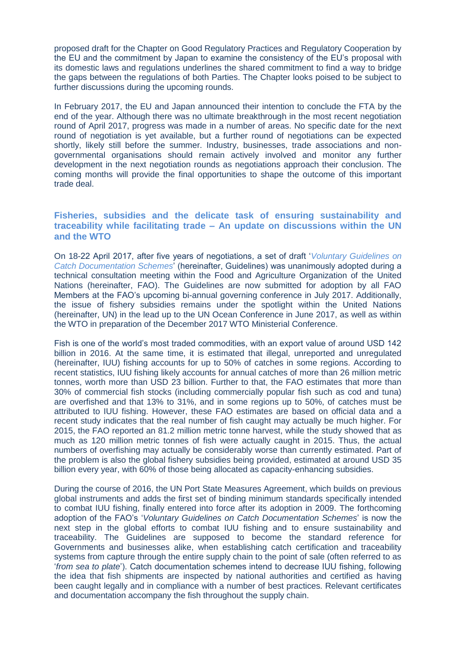proposed draft for the Chapter on Good Regulatory Practices and Regulatory Cooperation by the EU and the commitment by Japan to examine the consistency of the EU's proposal with its domestic laws and regulations underlines the shared commitment to find a way to bridge the gaps between the regulations of both Parties. The Chapter looks poised to be subject to further discussions during the upcoming rounds.

In February 2017, the EU and Japan announced their intention to conclude the FTA by the end of the year. Although there was no ultimate breakthrough in the most recent negotiation round of April 2017, progress was made in a number of areas. No specific date for the next round of negotiation is yet available, but a further round of negotiations can be expected shortly, likely still before the summer. Industry, businesses, trade associations and nongovernmental organisations should remain actively involved and monitor any further development in the next negotiation rounds as negotiations approach their conclusion. The coming months will provide the final opportunities to shape the outcome of this important trade deal.

## <span id="page-4-0"></span>**Fisheries, subsidies and the delicate task of ensuring sustainability and traceability while facilitating trade – An update on discussions within the UN and the WTO**

On 18-22 April 2017, after five years of negotiations, a set of draft '*[Voluntary Guidelines on](http://www.fao.org/fi/static-media/MeetingDocuments/CDS/TC2016/wpAnnex.pdf)  [Catch Documentation Schemes](http://www.fao.org/fi/static-media/MeetingDocuments/CDS/TC2016/wpAnnex.pdf)*' (hereinafter, Guidelines) was unanimously adopted during a technical consultation meeting within the Food and Agriculture Organization of the United Nations (hereinafter, FAO). The Guidelines are now submitted for adoption by all FAO Members at the FAO's upcoming bi-annual governing conference in July 2017. Additionally, the issue of fishery subsidies remains under the spotlight within the United Nations (hereinafter, UN) in the lead up to the UN Ocean Conference in June 2017, as well as within the WTO in preparation of the December 2017 WTO Ministerial Conference.

Fish is one of the world's most traded commodities, with an export value of around USD 142 billion in 2016. At the same time, it is estimated that illegal, unreported and unregulated (hereinafter, IUU) fishing accounts for up to 50% of catches in some regions. According to recent statistics, IUU fishing likely accounts for annual catches of more than 26 million metric tonnes, worth more than USD 23 billion. Further to that, the FAO estimates that more than 30% of commercial fish stocks (including commercially popular fish such as cod and tuna) are overfished and that 13% to 31%, and in some regions up to 50%, of catches must be attributed to IUU fishing. However, these FAO estimates are based on official data and a recent study indicates that the real number of fish caught may actually be much higher. For 2015, the FAO reported an 81.2 million metric tonne harvest, while the study showed that as much as 120 million metric tonnes of fish were actually caught in 2015. Thus, the actual numbers of overfishing may actually be considerably worse than currently estimated. Part of the problem is also the global fishery subsidies being provided, estimated at around USD 35 billion every year, with 60% of those being allocated as capacity-enhancing subsidies.

During the course of 2016, the UN Port State Measures Agreement, which builds on previous global instruments and adds the first set of binding minimum standards specifically intended to combat IUU fishing, finally entered into force after its adoption in 2009. The forthcoming adoption of the FAO's '*Voluntary Guidelines on Catch Documentation Schemes*' is now the next step in the global efforts to combat IUU fishing and to ensure sustainability and traceability. The Guidelines are supposed to become the standard reference for Governments and businesses alike, when establishing catch certification and traceability systems from capture through the entire supply chain to the point of sale (often referred to as '*from sea to plate*'). Catch documentation schemes intend to decrease IUU fishing, following the idea that fish shipments are inspected by national authorities and certified as having been caught legally and in compliance with a number of best practices. Relevant certificates and documentation accompany the fish throughout the supply chain.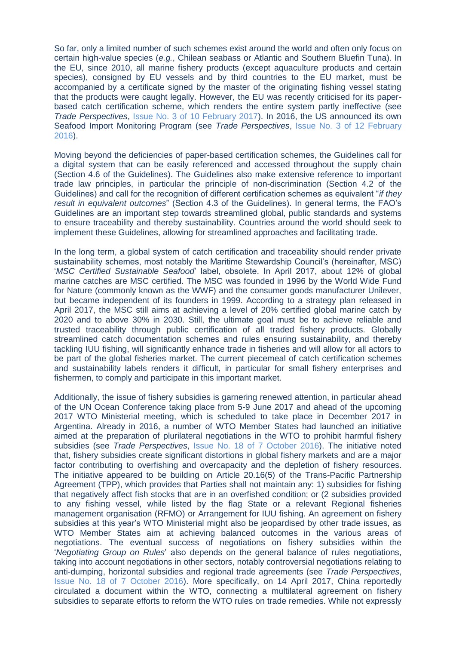So far, only a limited number of such schemes exist around the world and often only focus on certain high-value species (*e.g.*, Chilean seabass or Atlantic and Southern Bluefin Tuna). In the EU, since 2010, all marine fishery products (except aquaculture products and certain species), consigned by EU vessels and by third countries to the EU market, must be accompanied by a certificate signed by the master of the originating fishing vessel stating that the products were caught legally. However, the EU was recently criticised for its paperbased catch certification scheme, which renders the entire system partly ineffective (see *Trade Perspectives*, [Issue No. 3 of 10 February 2017\)](http://www.fratinivergano.eu/en/trade-perspectives/issue-number-3-10th-february-2017/#_Burdensome,_but_partly). In 2016, the US announced its own Seafood Import Monitoring Program (see *Trade Perspectives*, [Issue No. 3 of 12 February](http://www.fratinivergano.eu/en/trade-perspectives/issue-number-3-12th-february-2016/)  [2016\)](http://www.fratinivergano.eu/en/trade-perspectives/issue-number-3-12th-february-2016/).

Moving beyond the deficiencies of paper-based certification schemes, the Guidelines call for a digital system that can be easily referenced and accessed throughout the supply chain (Section 4.6 of the Guidelines). The Guidelines also make extensive reference to important trade law principles, in particular the principle of non-discrimination (Section 4.2 of the Guidelines) and call for the recognition of different certification schemes as equivalent "*if they result in equivalent outcomes*" (Section 4.3 of the Guidelines). In general terms, the FAO's Guidelines are an important step towards streamlined global, public standards and systems to ensure traceability and thereby sustainability. Countries around the world should seek to implement these Guidelines, allowing for streamlined approaches and facilitating trade.

In the long term, a global system of catch certification and traceability should render private sustainability schemes, most notably the Maritime Stewardship Council's (hereinafter, MSC) '*MSC Certified Sustainable Seafood*' label, obsolete. In April 2017, about 12% of global marine catches are MSC certified. The MSC was founded in 1996 by the World Wide Fund for Nature (commonly known as the WWF) and the consumer goods manufacturer Unilever, but became independent of its founders in 1999. According to a strategy plan released in April 2017, the MSC still aims at achieving a level of 20% certified global marine catch by 2020 and to above 30% in 2030. Still, the ultimate goal must be to achieve reliable and trusted traceability through public certification of all traded fishery products. Globally streamlined catch documentation schemes and rules ensuring sustainability, and thereby tackling IUU fishing, will significantly enhance trade in fisheries and will allow for all actors to be part of the global fisheries market. The current piecemeal of catch certification schemes and sustainability labels renders it difficult, in particular for small fishery enterprises and fishermen, to comply and participate in this important market.

Additionally, the issue of fishery subsidies is garnering renewed attention, in particular ahead of the UN Ocean Conference taking place from 5-9 June 2017 and ahead of the upcoming 2017 WTO Ministerial meeting, which is scheduled to take place in December 2017 in Argentina. Already in 2016, a number of WTO Member States had launched an initiative aimed at the preparation of plurilateral negotiations in the WTO to prohibit harmful fishery subsidies (see *Trade Perspectives*, [Issue No. 18 of 7 October 2016\)](http://www.fratinivergano.eu/en/issue-number-18-7th-october-2016/#_Calming_troubled_waters). The initiative noted that, fishery subsidies create significant distortions in global fishery markets and are a major factor contributing to overfishing and overcapacity and the depletion of fishery resources. The initiative appeared to be building on Article 20.16(5) of the Trans-Pacific Partnership Agreement (TPP), which provides that Parties shall not maintain any: 1) subsidies for fishing that negatively affect fish stocks that are in an overfished condition; or (2 subsidies provided to any fishing vessel, while listed by the flag State or a relevant Regional fisheries management organisation (RFMO) or Arrangement for IUU fishing. An agreement on fishery subsidies at this year's WTO Ministerial might also be jeopardised by other trade issues, as WTO Member States aim at achieving balanced outcomes in the various areas of negotiations. The eventual success of negotiations on fishery subsidies within the '*Negotiating Group on Rules*' also depends on the general balance of rules negotiations, taking into account negotiations in other sectors, notably controversial negotiations relating to anti-dumping, horizontal subsidies and regional trade agreements (see *Trade Perspectives*, [Issue No. 18 of 7 October 2016\)](http://www.fratinivergano.eu/en/issue-number-18-7th-october-2016/#_Calming_troubled_waters). More specifically, on 14 April 2017, China reportedly circulated a document within the WTO, connecting a multilateral agreement on fishery subsidies to separate efforts to reform the WTO rules on trade remedies. While not expressly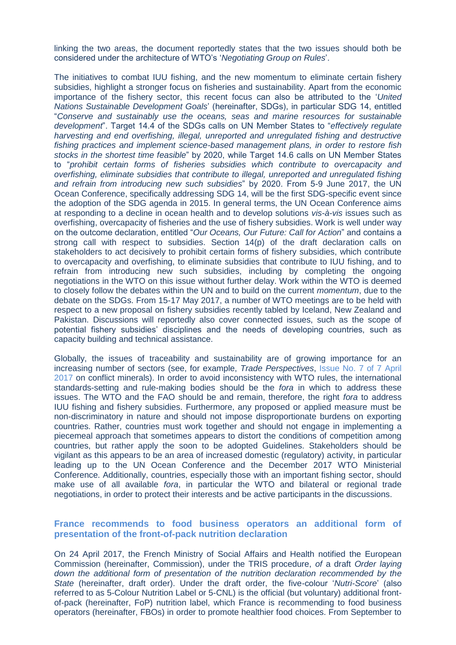linking the two areas, the document reportedly states that the two issues should both be considered under the architecture of WTO's '*Negotiating Group on Rules*'.

The initiatives to combat IUU fishing, and the new momentum to eliminate certain fishery subsidies, highlight a stronger focus on fisheries and sustainability. Apart from the economic importance of the fishery sector, this recent focus can also be attributed to the '*United Nations Sustainable Development Goals*' (hereinafter, SDGs), in particular SDG 14, entitled "*Conserve and sustainably use the oceans, seas and marine resources for sustainable development*". Target 14.4 of the SDGs calls on UN Member States to "*effectively regulate harvesting and end overfishing, illegal, unreported and unregulated fishing and destructive fishing practices and implement science-based management plans, in order to restore fish stocks in the shortest time feasible*" by 2020, while Target 14.6 calls on UN Member States to "*prohibit certain forms of fisheries subsidies which contribute to overcapacity and overfishing, eliminate subsidies that contribute to illegal, unreported and unregulated fishing and refrain from introducing new such subsidies*" by 2020. From 5-9 June 2017, the UN Ocean Conference, specifically addressing SDG 14, will be the first SDG-specific event since the adoption of the SDG agenda in 2015. In general terms, the UN Ocean Conference aims at responding to a decline in ocean health and to develop solutions *vis-à-vis* issues such as overfishing, overcapacity of fisheries and the use of fishery subsidies. Work is well under way on the outcome declaration, entitled "*Our Oceans, Our Future: Call for Action*" and contains a strong call with respect to subsidies. Section 14(p) of the draft declaration calls on stakeholders to act decisively to prohibit certain forms of fishery subsidies, which contribute to overcapacity and overfishing, to eliminate subsidies that contribute to IUU fishing, and to refrain from introducing new such subsidies, including by completing the ongoing negotiations in the WTO on this issue without further delay. Work within the WTO is deemed to closely follow the debates within the UN and to build on the current *momentum*, due to the debate on the SDGs. From 15-17 May 2017, a number of WTO meetings are to be held with respect to a new proposal on fishery subsidies recently tabled by Iceland, New Zealand and Pakistan. Discussions will reportedly also cover connected issues, such as the scope of potential fishery subsidies' disciplines and the needs of developing countries, such as capacity building and technical assistance.

Globally, the issues of traceability and sustainability are of growing importance for an increasing number of sectors (see, for example, *Trade Perspectives*, [Issue No. 7 of 7 April](http://www.fratinivergano.eu/en/trade-perspectives/issue-number-7-7th-april-2017/#_The_EU_adopts)  [2017](http://www.fratinivergano.eu/en/trade-perspectives/issue-number-7-7th-april-2017/#_The_EU_adopts) on conflict minerals). In order to avoid inconsistency with WTO rules, the international standards-setting and rule-making bodies should be the *fora* in which to address these issues. The WTO and the FAO should be and remain, therefore, the right *fora* to address IUU fishing and fishery subsidies. Furthermore, any proposed or applied measure must be non-discriminatory in nature and should not impose disproportionate burdens on exporting countries. Rather, countries must work together and should not engage in implementing a piecemeal approach that sometimes appears to distort the conditions of competition among countries, but rather apply the soon to be adopted Guidelines. Stakeholders should be vigilant as this appears to be an area of increased domestic (regulatory) activity, in particular leading up to the UN Ocean Conference and the December 2017 WTO Ministerial Conference. Additionally, countries, especially those with an important fishing sector, should make use of all available *fora*, in particular the WTO and bilateral or regional trade negotiations, in order to protect their interests and be active participants in the discussions.

#### <span id="page-6-0"></span>**France recommends to food business operators an additional form of presentation of the front-of-pack nutrition declaration**

On 24 April 2017, the French Ministry of Social Affairs and Health notified the European Commission (hereinafter, Commission), under the TRIS procedure, *of* a draft *Order laying down the additional form of presentation of the nutrition declaration recommended by the State* (hereinafter, draft order). Under the draft order, the five-colour '*Nutri-Score*' (also referred to as 5-Colour Nutrition Label or 5-CNL) is the official (but voluntary) additional frontof-pack (hereinafter, FoP) nutrition label, which France is recommending to food business operators (hereinafter, FBOs) in order to promote healthier food choices. From September to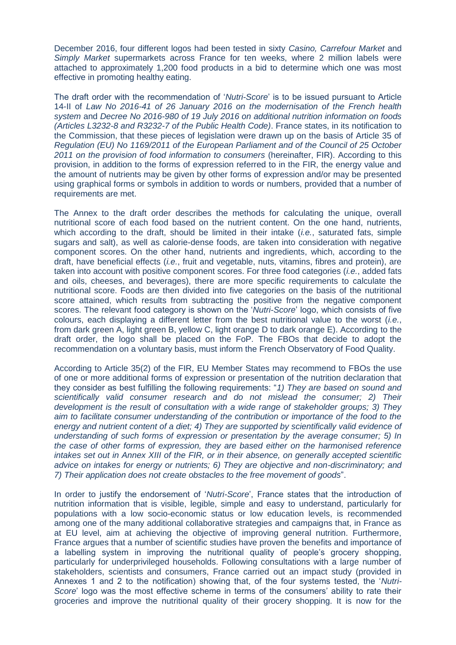December 2016, four different logos had been tested in sixty *Casino, Carrefour Market* and *Simply Market* supermarkets across France for ten weeks, where 2 million labels were attached to approximately 1,200 food products in a bid to determine which one was most effective in promoting healthy eating.

The draft order with the recommendation of '*Nutri-Score*' is to be issued pursuant to Article 14-II of *Law No 2016-41 of 26 January 2016 on the modernisation of the French health system* and *Decree No 2016-980 of 19 July 2016 on additional nutrition information on foods (Articles L3232-8 and R3232-7 of the Public Health Code)*. France states, in its notification to the Commission, that these pieces of legislation were drawn up on the basis of Article 35 of *Regulation (EU) No 1169/2011 of the European Parliament and of the Council of 25 October 2011 on the provision of food information to consumers* (hereinafter, FIR). According to this provision, in addition to the forms of expression referred to in the FIR, the energy value and the amount of nutrients may be given by other forms of expression and/or may be presented using graphical forms or symbols in addition to words or numbers, provided that a number of requirements are met.

The Annex to the draft order describes the methods for calculating the unique, overall nutritional score of each food based on the nutrient content. On the one hand, nutrients, which according to the draft, should be limited in their intake (*i.e.*, saturated fats, simple sugars and salt), as well as calorie-dense foods, are taken into consideration with negative component scores. On the other hand, nutrients and ingredients, which, according to the draft, have beneficial effects (*i.e.*, fruit and vegetable, nuts, vitamins, fibres and protein), are taken into account with positive component scores. For three food categories (*i.e.*, added fats and oils, cheeses, and beverages), there are more specific requirements to calculate the nutritional score. Foods are then divided into five categories on the basis of the nutritional score attained, which results from subtracting the positive from the negative component scores. The relevant food category is shown on the '*Nutri-Score*' logo, which consists of five colours, each displaying a different letter from the best nutritional value to the worst (*i.e.*, from dark green A, light green B, yellow C, light orange D to dark orange E). According to the draft order, the logo shall be placed on the FoP. The FBOs that decide to adopt the recommendation on a voluntary basis, must inform the French Observatory of Food Quality.

According to Article 35(2) of the FIR, EU Member States may recommend to FBOs the use of one or more additional forms of expression or presentation of the nutrition declaration that they consider as best fulfilling the following requirements: "*1) They are based on sound and scientifically valid consumer research and do not mislead the consumer; 2) Their development is the result of consultation with a wide range of stakeholder groups; 3) They aim to facilitate consumer understanding of the contribution or importance of the food to the energy and nutrient content of a diet; 4) They are supported by scientifically valid evidence of understanding of such forms of expression or presentation by the average consumer; 5) In the case of other forms of expression, they are based either on the harmonised reference intakes set out in Annex XIII of the FIR, or in their absence, on generally accepted scientific advice on intakes for energy or nutrients; 6) They are objective and non-discriminatory; and 7) Their application does not create obstacles to the free movement of goods*".

In order to justify the endorsement of '*Nutri-Score*', France states that the introduction of nutrition information that is visible, legible, simple and easy to understand, particularly for populations with a low socio-economic status or low education levels, is recommended among one of the many additional collaborative strategies and campaigns that, in France as at EU level, aim at achieving the objective of improving general nutrition. Furthermore, France argues that a number of scientific studies have proven the benefits and importance of a labelling system in improving the nutritional quality of people's grocery shopping, particularly for underprivileged households. Following consultations with a large number of stakeholders, scientists and consumers, France carried out an impact study (provided in Annexes 1 and 2 to the notification) showing that, of the four systems tested, the '*Nutri-Score*' logo was the most effective scheme in terms of the consumers' ability to rate their groceries and improve the nutritional quality of their grocery shopping. It is now for the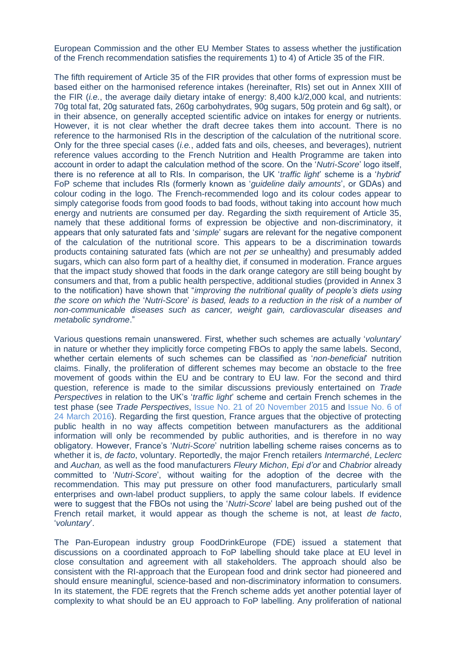European Commission and the other EU Member States to assess whether the justification of the French recommendation satisfies the requirements 1) to 4) of Article 35 of the FIR.

The fifth requirement of Article 35 of the FIR provides that other forms of expression must be based either on the harmonised reference intakes (hereinafter, RIs) set out in Annex XIII of the FIR (*i.e.*, the average daily dietary intake of energy: 8,400 kJ/2,000 kcal, and nutrients: 70g total fat, 20g saturated fats, 260g carbohydrates, 90g sugars, 50g protein and 6g salt), or in their absence, on generally accepted scientific advice on intakes for energy or nutrients. However, it is not clear whether the draft decree takes them into account. There is no reference to the harmonised RIs in the description of the calculation of the nutritional score. Only for the three special cases (*i.e.*, added fats and oils, cheeses, and beverages), nutrient reference values according to the French Nutrition and Health Programme are taken into account in order to adapt the calculation method of the score. On the '*Nutri-Score*' logo itself, there is no reference at all to RIs. In comparison, the UK '*traffic light*' scheme is a '*hybrid*' FoP scheme that includes RIs (formerly known as '*guideline daily amounts*', or GDAs) and colour coding in the logo. The French-recommended logo and its colour codes appear to simply categorise foods from good foods to bad foods, without taking into account how much energy and nutrients are consumed per day. Regarding the sixth requirement of Article 35, namely that these additional forms of expression be objective and non-discriminatory, it appears that only saturated fats and '*simple*' sugars are relevant for the negative component of the calculation of the nutritional score. This appears to be a discrimination towards products containing saturated fats (which are not *per se* unhealthy) and presumably added sugars, which can also form part of a healthy diet, if consumed in moderation. France argues that the impact study showed that foods in the dark orange category are still being bought by consumers and that, from a public health perspective, additional studies (provided in Annex 3 to the notification) have shown that "*improving the nutritional quality of people's diets using the score on which the* '*Nutri-Score*' *is based, leads to a reduction in the risk of a number of non-communicable diseases such as cancer, weight gain, cardiovascular diseases and metabolic syndrome*."

Various questions remain unanswered. First, whether such schemes are actually '*voluntary*' in nature or whether they implicitly force competing FBOs to apply the same labels. Second, whether certain elements of such schemes can be classified as '*non-beneficial*' nutrition claims. Finally, the proliferation of different schemes may become an obstacle to the free movement of goods within the EU and be contrary to EU law. For the second and third question, reference is made to the similar discussions previously entertained on *Trade Perspectives* in relation to the UK's '*traffic light*' scheme and certain French schemes in the test phase (see *Trade Perspectives*, [Issue No. 21 of 20 November 2015](http://www.fratinivergano.eu/en/trade-perspectives/issue-number-21-20th-november-2015/) and [Issue No. 6 of](http://www.fratinivergano.eu/en/issue-number-6-24th-march-2016/#_Seven_EU_Member)  [24 March 2016\)](http://www.fratinivergano.eu/en/issue-number-6-24th-march-2016/#_Seven_EU_Member). Regarding the first question, France argues that the objective of protecting public health in no way affects competition between manufacturers as the additional information will only be recommended by public authorities, and is therefore in no way obligatory. However, France's '*Nutri-Score*' nutrition labelling scheme raises concerns as to whether it is, *de facto*, voluntary. Reportedly, the major French retailers *Intermarché*, *Leclerc* and *Auchan,* as well as the food manufacturers *Fleury Michon*, *Epi d'or* and *Chabrior* already committed to '*Nutri-Score*', without waiting for the adoption of the decree with the recommendation. This may put pressure on other food manufacturers, particularly small enterprises and own-label product suppliers, to apply the same colour labels. If evidence were to suggest that the FBOs not using the '*Nutri-Score*' label are being pushed out of the French retail market, it would appear as though the scheme is not, at least *de facto*, '*voluntary*'.

The Pan-European industry group FoodDrinkEurope (FDE) issued a statement that discussions on a coordinated approach to FoP labelling should take place at EU level in close consultation and agreement with all stakeholders. The approach should also be consistent with the RI-approach that the European food and drink sector had pioneered and should ensure meaningful, science-based and non-discriminatory information to consumers. In its statement, the FDE regrets that the French scheme adds yet another potential layer of complexity to what should be an EU approach to FoP labelling. Any proliferation of national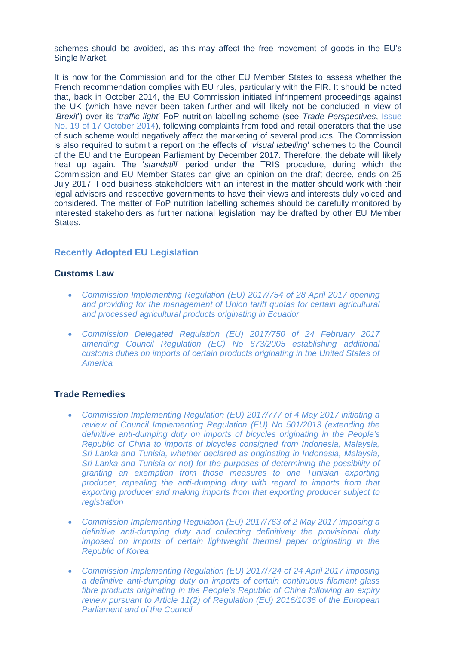schemes should be avoided, as this may affect the free movement of goods in the EU's Single Market.

It is now for the Commission and for the other EU Member States to assess whether the French recommendation complies with EU rules, particularly with the FIR. It should be noted that, back in October 2014, the EU Commission initiated infringement proceedings against the UK (which have never been taken further and will likely not be concluded in view of '*Brexit*') over its '*traffic light*' FoP nutrition labelling scheme (see *Trade Perspectives*, [Issue](http://www.fratinivergano.eu/static/upload/1/1/14.10_.17_TP_Issue_19_.pdf)  [No. 19 of 17 October 2014\)](http://www.fratinivergano.eu/static/upload/1/1/14.10_.17_TP_Issue_19_.pdf), following complaints from food and retail operators that the use of such scheme would negatively affect the marketing of several products. The Commission is also required to submit a report on the effects of '*visual labelling*' schemes to the Council of the EU and the European Parliament by December 2017. Therefore, the debate will likely heat up again. The '*standstill*' period under the TRIS procedure, during which the Commission and EU Member States can give an opinion on the draft decree, ends on 25 July 2017. Food business stakeholders with an interest in the matter should work with their legal advisors and respective governments to have their views and interests duly voiced and considered. The matter of FoP nutrition labelling schemes should be carefully monitored by interested stakeholders as further national legislation may be drafted by other EU Member States.

## <span id="page-9-0"></span>**Recently Adopted EU Legislation**

#### **Customs Law**

- *[Commission Implementing Regulation \(EU\) 2017/754 of 28 April 2017 opening](http://eur-lex.europa.eu/legal-content/EN/TXT/?uri=uriserv:OJ.L_.2017.113.01.0028.01.ENG&toc=OJ:L:2017:113:TOC)  [and providing for the management of Union tariff quotas for certain agricultural](http://eur-lex.europa.eu/legal-content/EN/TXT/?uri=uriserv:OJ.L_.2017.113.01.0028.01.ENG&toc=OJ:L:2017:113:TOC)  [and processed agricultural products originating in Ecuador](http://eur-lex.europa.eu/legal-content/EN/TXT/?uri=uriserv:OJ.L_.2017.113.01.0028.01.ENG&toc=OJ:L:2017:113:TOC)*
- *[Commission Delegated Regulation \(EU\) 2017/750 of 24 February 2017](http://eur-lex.europa.eu/legal-content/EN/TXT/?uri=uriserv:OJ.L_.2017.113.01.0012.01.ENG&toc=OJ:L:2017:113:TOC)  [amending Council Regulation \(EC\) No 673/2005 establishing additional](http://eur-lex.europa.eu/legal-content/EN/TXT/?uri=uriserv:OJ.L_.2017.113.01.0012.01.ENG&toc=OJ:L:2017:113:TOC)  [customs duties on imports of certain products originating in the United States of](http://eur-lex.europa.eu/legal-content/EN/TXT/?uri=uriserv:OJ.L_.2017.113.01.0012.01.ENG&toc=OJ:L:2017:113:TOC)  [America](http://eur-lex.europa.eu/legal-content/EN/TXT/?uri=uriserv:OJ.L_.2017.113.01.0012.01.ENG&toc=OJ:L:2017:113:TOC)*

#### **Trade Remedies**

- *[Commission Implementing Regulation \(EU\) 2017/777 of 4 May 2017 initiating a](http://eur-lex.europa.eu/legal-content/EN/TXT/?uri=uriserv:OJ.L_.2017.116.01.0020.01.ENG&toc=OJ:L:2017:116:TOC)  [review of Council Implementing Regulation \(EU\) No 501/2013 \(extending the](http://eur-lex.europa.eu/legal-content/EN/TXT/?uri=uriserv:OJ.L_.2017.116.01.0020.01.ENG&toc=OJ:L:2017:116:TOC)  [definitive anti-dumping duty on imports of bicycles originating in the People's](http://eur-lex.europa.eu/legal-content/EN/TXT/?uri=uriserv:OJ.L_.2017.116.01.0020.01.ENG&toc=OJ:L:2017:116:TOC)  [Republic of China to imports of bicycles consigned from Indonesia, Malaysia,](http://eur-lex.europa.eu/legal-content/EN/TXT/?uri=uriserv:OJ.L_.2017.116.01.0020.01.ENG&toc=OJ:L:2017:116:TOC)  [Sri Lanka and Tunisia, whether declared as originating in Indonesia, Malaysia,](http://eur-lex.europa.eu/legal-content/EN/TXT/?uri=uriserv:OJ.L_.2017.116.01.0020.01.ENG&toc=OJ:L:2017:116:TOC)  [Sri Lanka and Tunisia or not\) for the purposes of determining the possibility of](http://eur-lex.europa.eu/legal-content/EN/TXT/?uri=uriserv:OJ.L_.2017.116.01.0020.01.ENG&toc=OJ:L:2017:116:TOC)  [granting an exemption from those measures to one Tunisian exporting](http://eur-lex.europa.eu/legal-content/EN/TXT/?uri=uriserv:OJ.L_.2017.116.01.0020.01.ENG&toc=OJ:L:2017:116:TOC)  [producer, repealing the anti-dumping duty with regard to imports from that](http://eur-lex.europa.eu/legal-content/EN/TXT/?uri=uriserv:OJ.L_.2017.116.01.0020.01.ENG&toc=OJ:L:2017:116:TOC)  [exporting producer and making imports from that exporting producer subject to](http://eur-lex.europa.eu/legal-content/EN/TXT/?uri=uriserv:OJ.L_.2017.116.01.0020.01.ENG&toc=OJ:L:2017:116:TOC)  [registration](http://eur-lex.europa.eu/legal-content/EN/TXT/?uri=uriserv:OJ.L_.2017.116.01.0020.01.ENG&toc=OJ:L:2017:116:TOC)*
- *[Commission Implementing Regulation \(EU\) 2017/763 of 2 May 2017 imposing a](http://eur-lex.europa.eu/legal-content/EN/TXT/?uri=uriserv:OJ.L_.2017.114.01.0003.01.ENG&toc=OJ:L:2017:114:TOC)  [definitive anti-dumping duty and collecting definitively the provisional duty](http://eur-lex.europa.eu/legal-content/EN/TXT/?uri=uriserv:OJ.L_.2017.114.01.0003.01.ENG&toc=OJ:L:2017:114:TOC)  [imposed on imports of certain lightweight thermal paper originating in the](http://eur-lex.europa.eu/legal-content/EN/TXT/?uri=uriserv:OJ.L_.2017.114.01.0003.01.ENG&toc=OJ:L:2017:114:TOC)  [Republic of Korea](http://eur-lex.europa.eu/legal-content/EN/TXT/?uri=uriserv:OJ.L_.2017.114.01.0003.01.ENG&toc=OJ:L:2017:114:TOC)*
- *[Commission Implementing Regulation \(EU\) 2017/724 of 24 April 2017 imposing](http://eur-lex.europa.eu/legal-content/EN/TXT/?uri=uriserv:OJ.L_.2017.107.01.0004.01.ENG&toc=OJ:L:2017:107:TOC)  [a definitive anti-dumping duty on imports of certain continuous filament glass](http://eur-lex.europa.eu/legal-content/EN/TXT/?uri=uriserv:OJ.L_.2017.107.01.0004.01.ENG&toc=OJ:L:2017:107:TOC)  [fibre products originating in the People's Republic of China following an expiry](http://eur-lex.europa.eu/legal-content/EN/TXT/?uri=uriserv:OJ.L_.2017.107.01.0004.01.ENG&toc=OJ:L:2017:107:TOC)  [review pursuant to Article 11\(2\) of Regulation \(EU\) 2016/1036 of the European](http://eur-lex.europa.eu/legal-content/EN/TXT/?uri=uriserv:OJ.L_.2017.107.01.0004.01.ENG&toc=OJ:L:2017:107:TOC)  [Parliament and of the Council](http://eur-lex.europa.eu/legal-content/EN/TXT/?uri=uriserv:OJ.L_.2017.107.01.0004.01.ENG&toc=OJ:L:2017:107:TOC)*